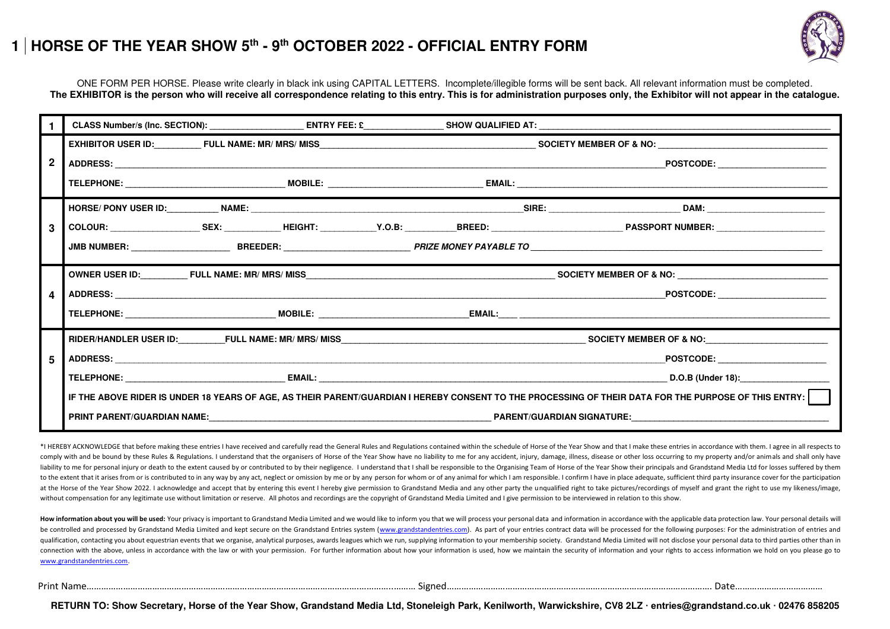## **1 HORSE OF THE YEAR SHOW 5th - 9th OCTOBER 2022 - OFFICIAL ENTRY FORM**



ONE FORM PER HORSE. Please write clearly in black ink using CAPITAL LETTERS. Incomplete/illegible forms will be sent back. All relevant information must be completed. **The EXHIBITOR is the person who will receive all correspondence relating to this entry. This is for administration purposes only, the Exhibitor will not appear in the catalogue.**

| $\mathbf{2}$ |  |  | POSTCODE: ______________________                                                                                                                      |  |  |  |  |  |
|--------------|--|--|-------------------------------------------------------------------------------------------------------------------------------------------------------|--|--|--|--|--|
|              |  |  |                                                                                                                                                       |  |  |  |  |  |
|              |  |  |                                                                                                                                                       |  |  |  |  |  |
| 3            |  |  |                                                                                                                                                       |  |  |  |  |  |
|              |  |  |                                                                                                                                                       |  |  |  |  |  |
|              |  |  |                                                                                                                                                       |  |  |  |  |  |
| 4            |  |  |                                                                                                                                                       |  |  |  |  |  |
|              |  |  |                                                                                                                                                       |  |  |  |  |  |
|              |  |  |                                                                                                                                                       |  |  |  |  |  |
| 5            |  |  | POSTCODE: ______________________                                                                                                                      |  |  |  |  |  |
|              |  |  |                                                                                                                                                       |  |  |  |  |  |
|              |  |  | IF THE ABOVE RIDER IS UNDER 18 YEARS OF AGE, AS THEIR PARENT/GUARDIAN I HEREBY CONSENT TO THE PROCESSING OF THEIR DATA FOR THE PURPOSE OF THIS ENTRY: |  |  |  |  |  |
|              |  |  |                                                                                                                                                       |  |  |  |  |  |

\*I HEREBY ACKNOWLEDGE that before making these entries I have received and carefully read the General Rules and Regulations contained within the schedule of Horse of the Year Show and that I make these entries in accordanc comply with and be bound by these Rules & Regulations. I understand that the organisers of Horse of the Year Show have no liability to me for any accident, injury, damage, illness, disease or other loss occurring to my pro liability to me for personal injury or death to the extent caused by or contributed to by their negligence. I understand that I shall be responsible to the Organising Team of Horse of the Year Show their principals and Gra to the extent that it arises from or is contributed to in any way by any act, neglect or omission by me or by any person for whom or of any animal for which I am responsible. I confirm I have in place adequate, sufficient at the Horse of the Year Show 2022. I acknowledge and accept that by entering this event I hereby give permission to Grandstand Media and any other party the unqualified right to take pictures/recordings of myself and gran without compensation for any legitimate use without limitation or reserve. All photos and recordings are the copyright of Grandstand Media Limited and I give permission to be interviewed in relation to this show.

How information about you will be used: Your privacy is important to Grandstand Media Limited and we would like to inform you that we will process your personal data and information in accordance with the applicable data p be controlled and processed by Grandstand Media Limited and kept secure on the Grandstand Entries system [\(www.grandstandentries.com\)](http://www.grandstandentries.com/). As part of your entries contract data will be processed for the following purposes: For qualification, contacting you about equestrian events that we organise, analytical purposes, awards leagues which we run, supplying information to your membership society. Grandstand Media Limited will not disclose your pe connection with the above, unless in accordance with the law or with your permission. For further information about how your information is used, how we maintain the security of information and your rights to access inform [www.grandstandentries.com.](http://www.grandstandentries.com/) 

**RETURN TO: Show Secretary, Horse of the Year Show, Grandstand Media Ltd, Stoneleigh Park, Kenilworth, Warwickshire, CV8 2LZ ∙ entries@grandstand.co.uk ∙ 02476 858205**